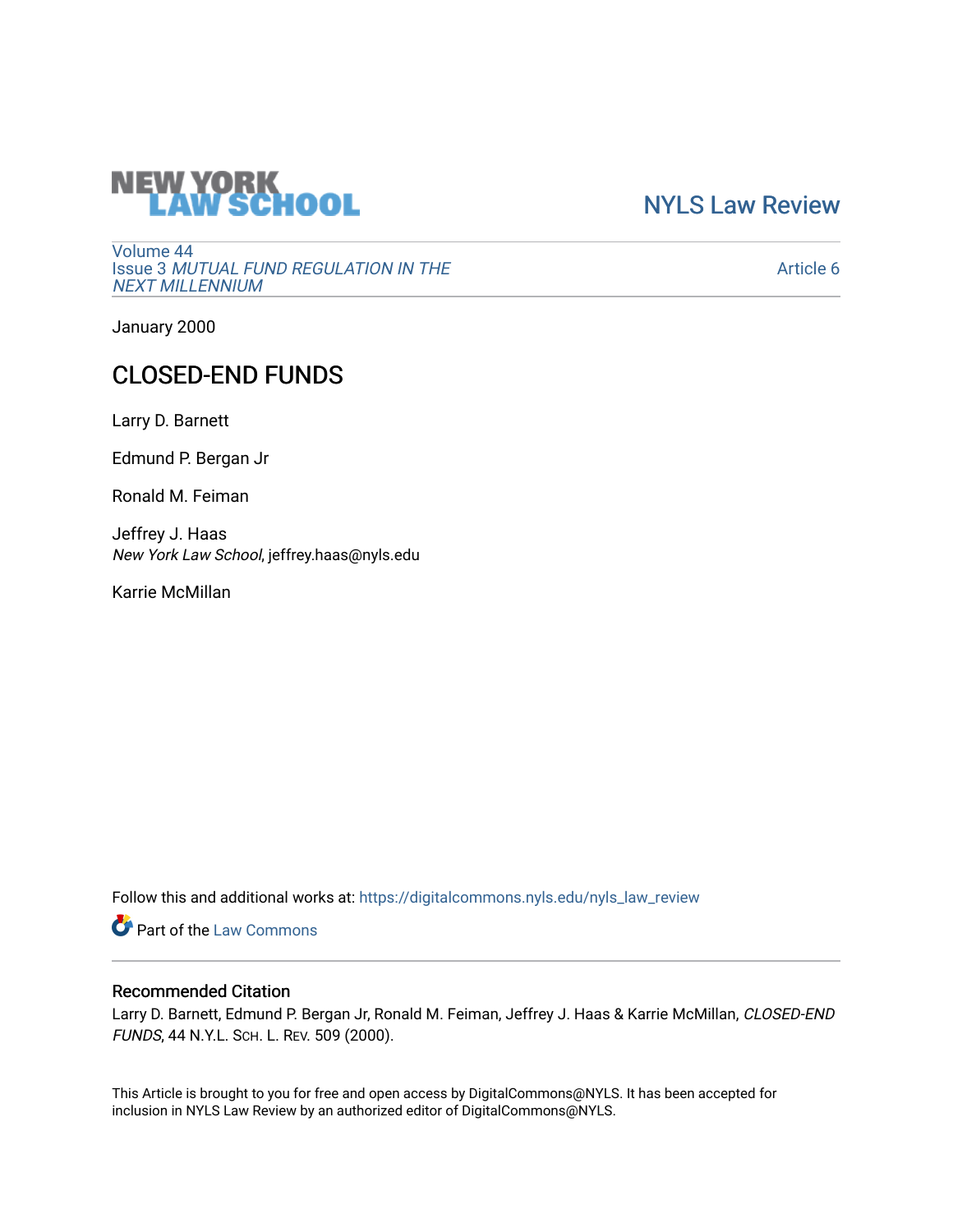# **NEW YORK<br>LAW SCHOOL**

[NYLS Law Review](https://digitalcommons.nyls.edu/nyls_law_review) 

[Volume 44](https://digitalcommons.nyls.edu/nyls_law_review/vol44) Issue 3 [MUTUAL FUND REGULATION IN THE](https://digitalcommons.nyls.edu/nyls_law_review/vol44/iss3)  [NEXT MILLENNIUM](https://digitalcommons.nyls.edu/nyls_law_review/vol44/iss3)

[Article 6](https://digitalcommons.nyls.edu/nyls_law_review/vol44/iss3/6) 

January 2000

# CLOSED-END FUNDS

Larry D. Barnett

Edmund P. Bergan Jr

Ronald M. Feiman

Jeffrey J. Haas New York Law School, jeffrey.haas@nyls.edu

Karrie McMillan

Follow this and additional works at: [https://digitalcommons.nyls.edu/nyls\\_law\\_review](https://digitalcommons.nyls.edu/nyls_law_review?utm_source=digitalcommons.nyls.edu%2Fnyls_law_review%2Fvol44%2Fiss3%2F6&utm_medium=PDF&utm_campaign=PDFCoverPages) 

**Part of the [Law Commons](https://network.bepress.com/hgg/discipline/578?utm_source=digitalcommons.nyls.edu%2Fnyls_law_review%2Fvol44%2Fiss3%2F6&utm_medium=PDF&utm_campaign=PDFCoverPages)** 

## Recommended Citation

Larry D. Barnett, Edmund P. Bergan Jr, Ronald M. Feiman, Jeffrey J. Haas & Karrie McMillan, CLOSED-END FUNDS, 44 N.Y.L. SCH. L. REV. 509 (2000).

This Article is brought to you for free and open access by DigitalCommons@NYLS. It has been accepted for inclusion in NYLS Law Review by an authorized editor of DigitalCommons@NYLS.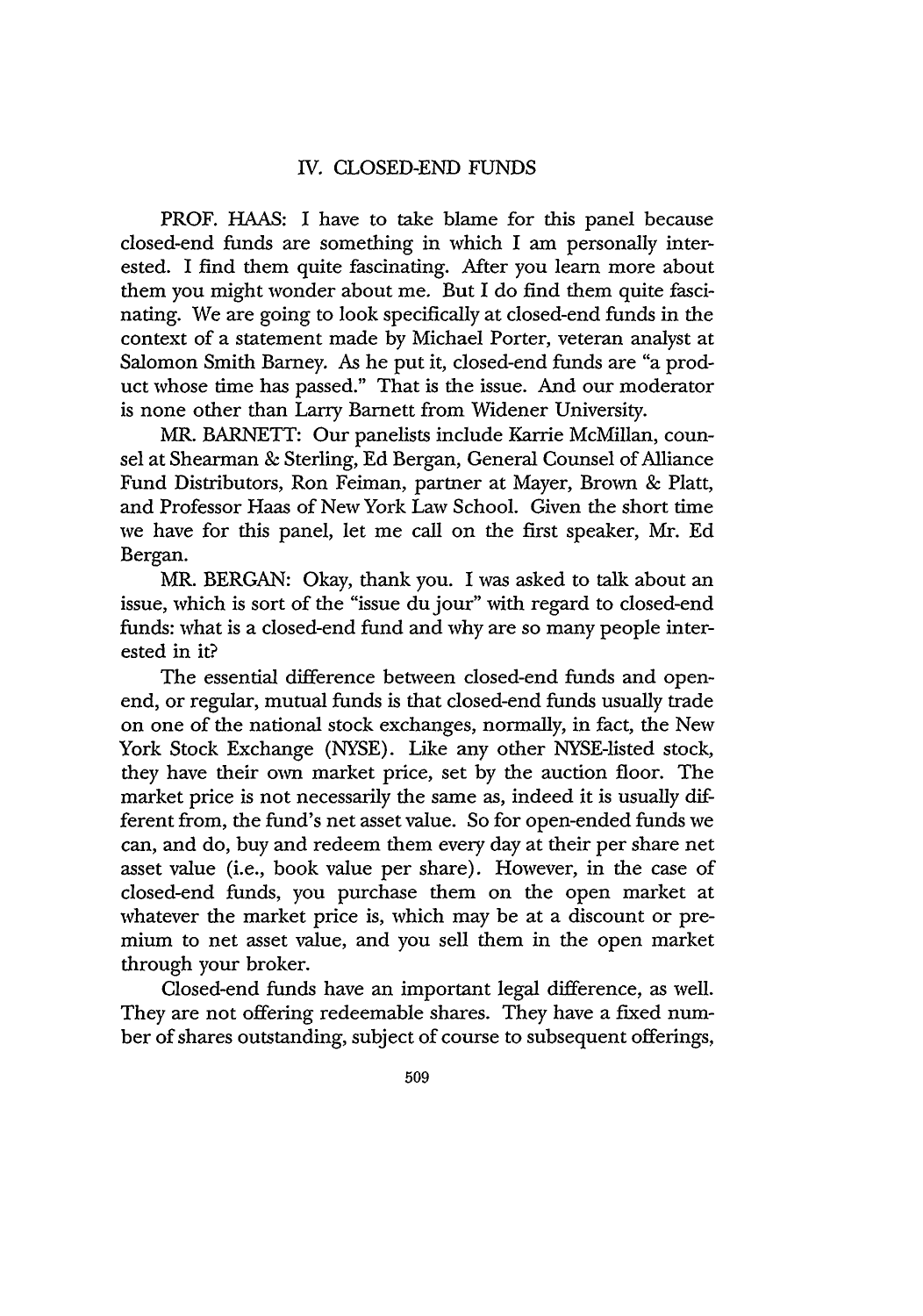### IV. CLOSED-END FUNDS

PROF. HAAS: I have to take blame for this panel because closed-end funds are something in which I am personally interested. I find them quite fascinating. After you learn more about them you might wonder about me. But I do find them quite fascinating. We are going to look specifically at closed-end funds in the context of a statement made by Michael Porter, veteran analyst at Salomon Smith Barney. As he put it, closed-end funds are "a product whose time has passed." That is the issue. And our moderator is none other than Larry Barnett from Widener University.

MR. BARNETT: Our panelists include Karrie McMillan, counsel at Shearman & Sterling, Ed Bergan, General Counsel of Alliance Fund Distributors, Ron Feiman, partner at Mayer, Brown & Platt, and Professor Haas of New York Law School. Given the short time we have for this panel, let me call on the first speaker, Mr. Ed Bergan.

MR. BERGAN: Okay, thank you. I was asked to talk about an issue, which is sort of the "issue du jour" with regard to closed-end funds: what is a closed-end fund and why are so many people interested in it?

The essential difference between closed-end funds and openend, or regular, mutual funds is that closed-end funds usually trade on one of the national stock exchanges, normally, in fact, the New York Stock Exchange (NYSE). Like any other NYSE-listed stock, they have their own market price, set by the auction floor. The market price is not necessarily the same as, indeed it is usually different from, the fund's net asset value. So for open-ended funds we can, and do, buy and redeem them every day at their per share net asset value (i.e., book value per share). However, in the case of closed-end funds, you purchase them on the open market at whatever the market price is, which may be at a discount or premium to net asset value, and you sell them in the open market through your broker.

Closed-end funds have an important legal difference, as well. They are not offering redeemable shares. They have a fixed number of shares outstanding, subject of course to subsequent offerings,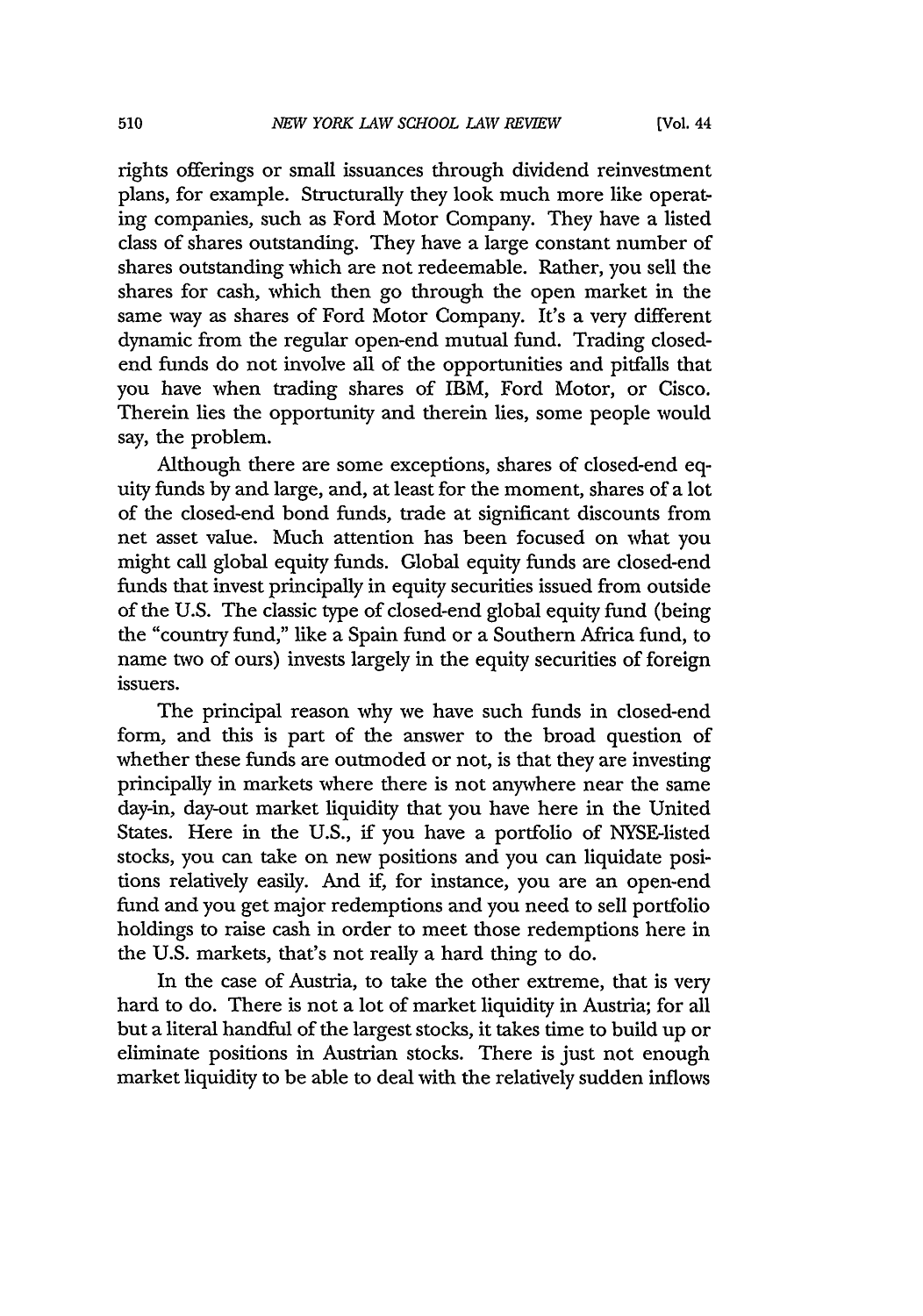rights offerings or small issuances through dividend reinvestment plans, for example. Structurally they look much more like operating companies, such as Ford Motor Company. They have a listed class of shares outstanding. They have a large constant number of shares outstanding which are not redeemable. Rather, you sell the shares for cash, which then go through the open market in the same way as shares of Ford Motor Company. It's a very different dynamic from the regular open-end mutual fund. Trading closedend funds do not involve all of the opportunities and pitfalls that you have when trading shares of IBM, Ford Motor, or Cisco. Therein lies the opportunity and therein lies, some people would say, the problem.

Although there are some exceptions, shares of closed-end equity funds by and large, and, at least for the moment, shares of a lot of the closed-end bond funds, trade at significant discounts from net asset value. Much attention has been focused on what you might call global equity funds. Global equity funds are closed-end funds that invest principally in equity securities issued from outside of the U.S. The classic type of closed-end global equity fund (being the "country fund," like a Spain fund or a Southern Africa fund, to name two of ours) invests largely in the equity securities of foreign issuers.

The principal reason why we have such funds in closed-end form, and this is part of the answer to the broad question of whether these funds are outmoded or not, is that they are investing principally in markets where there is not anywhere near the same day-in, day-out market liquidity that you have here in the United States. Here in the U.S., if you have a portfolio of NYSE-listed stocks, you can take on new positions and you can liquidate positions relatively easily. And if, for instance, you are an open-end fund and you get major redemptions and you need to sell portfolio holdings to raise cash in order to meet those redemptions here in the U.S. markets, that's not really a hard thing to do.

In the case of Austria, to take the other extreme, that is very hard to do. There is not a lot of market liquidity in Austria; for all but a literal handful of the largest stocks, it takes time to build up or eliminate positions in Austrian stocks. There is just not enough market liquidity to be able to deal with the relatively sudden inflows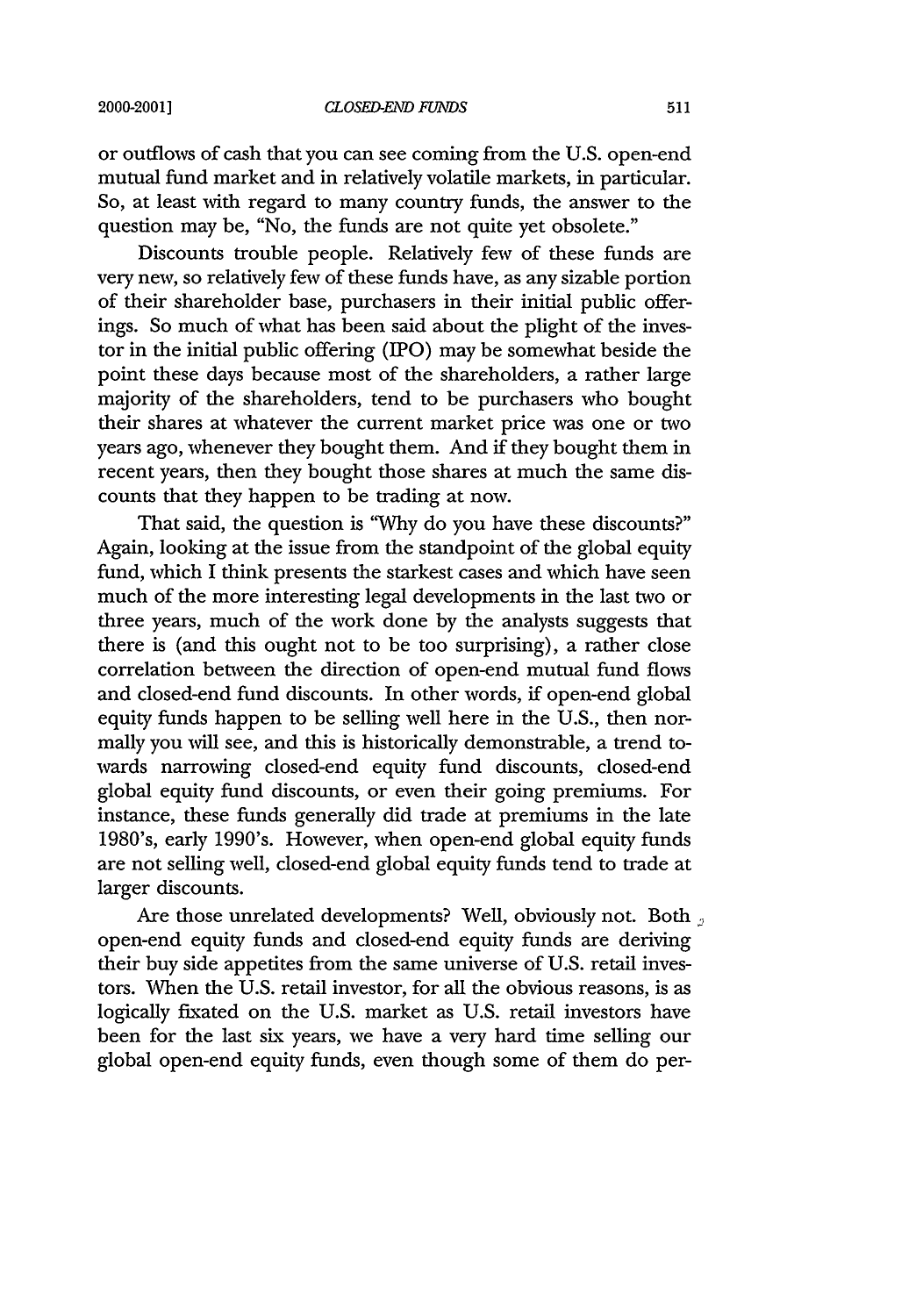or outflows of cash that you can see coming from the U.S. open-end mutual fund market and in relatively volatile markets, in particular. So, at least with regard to many country funds, the answer to the question may be, "No, the funds are not quite yet obsolete."

Discounts trouble people. Relatively few of these funds are very new, so relatively few of these funds have, as any sizable portion of their shareholder base, purchasers in their initial public offerings. So much of what has been said about the plight of the investor in the initial public offering (IPO) may be somewhat beside the point these days because most of the shareholders, a rather large majority of the shareholders, tend to be purchasers who bought their shares at whatever the current market price was one or two years ago, whenever they bought them. And if they bought them in recent years, then they bought those shares at much the same discounts that they happen to be trading at now.

That said, the question is **"Why** do you have these discounts?" Again, looking at the issue from the standpoint of the global equity fund, which I think presents the starkest cases and which have seen much of the more interesting legal developments in the last two or three years, much of the work done by the analysts suggests that there is (and this ought not to be too surprising), a rather close correlation between the direction of open-end mutual fund flows and closed-end fund discounts. In other words, if open-end global equity funds happen to be selling well here in the U.S., then normally you will see, and this is historically demonstrable, a trend towards narrowing closed-end equity fund discounts, closed-end global equity fund discounts, or even their going premiums. For instance, these funds generally did trade at premiums in the late 1980's, early 1990's. However, when open-end global equity funds are not selling well, closed-end global equity funds tend to trade at larger discounts.

Are those unrelated developments? Well, obviously not. Both open-end equity funds and closed-end equity funds are deriving their buy side appetites from the same universe of U.S. retail investors. When the U.S. retail investor, for all the obvious reasons, is as logically fixated on the U.S. market as U.S. retail investors have been for the last six years, we have a very hard time selling our global open-end equity funds, even though some of them do per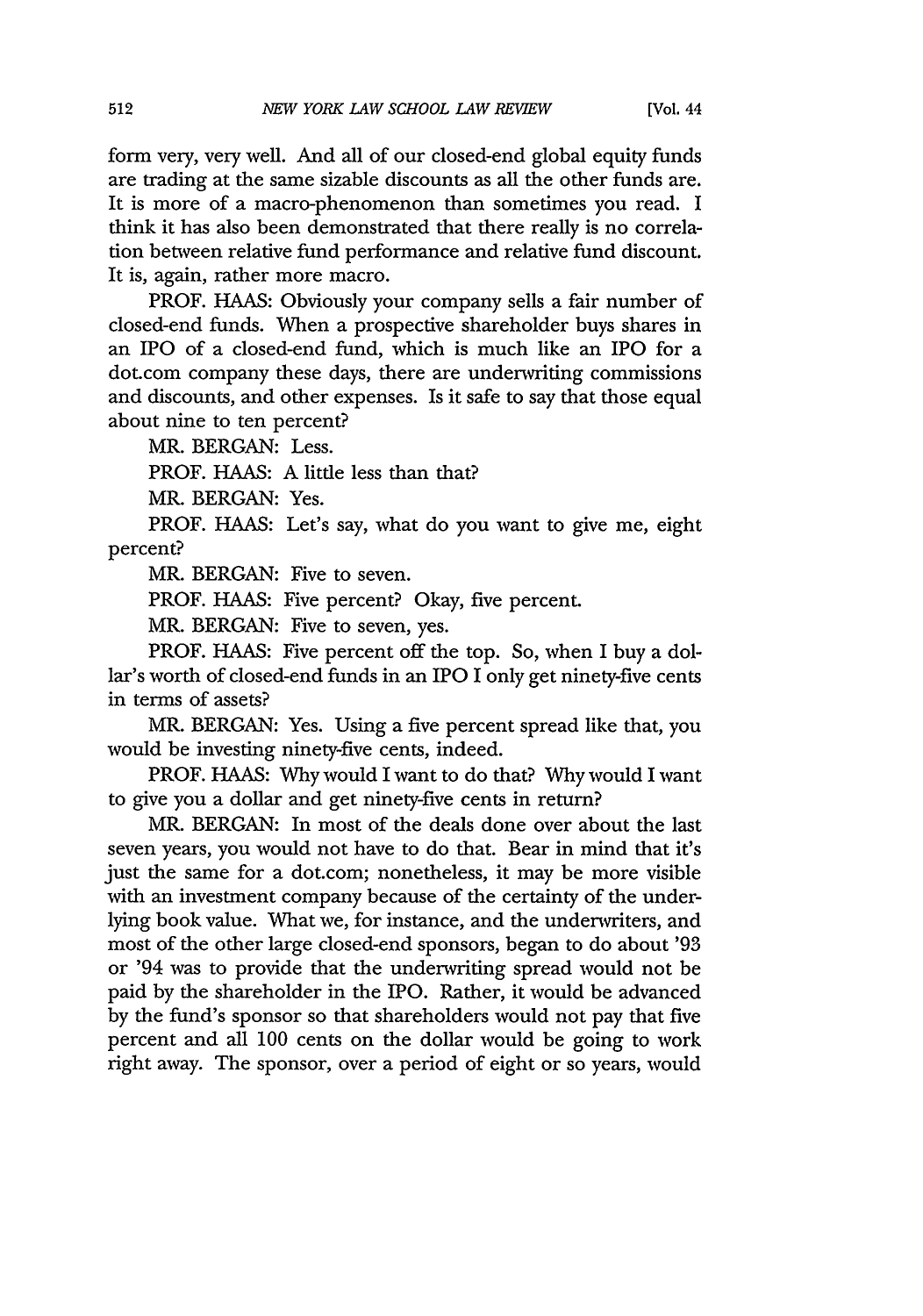form very, very well. And all of our closed-end global equity funds are trading at the same sizable discounts as all the other funds are. It is more of a macro-phenomenon than sometimes you read. I think it has also been demonstrated that there really is no correlation between relative fund performance and relative fund discount. It is, again, rather more macro.

PROF. HAAS: Obviously your company sells a fair number of closed-end funds. When a prospective shareholder buys shares in an IPO of a closed-end fund, which is much like an IPO for a dot.com company these days, there are underwriting commissions and discounts, and other expenses. Is it safe to say that those equal about nine to ten percent?

MR. BERGAN: Less.

PROF. HAAS: A little less than that?

MR. BERGAN: Yes.

PROF. HAAS: Let's say, what do you want to give me, eight percent?

MR. BERGAN: Five to seven.

PROF. HAAS: Five percent? Okay, five percent.

MR. BERGAN: Five to seven, yes.

PROF. HAAS: Five percent off the top. So, when I buy a dollar's worth of closed-end funds in an IPO I only get ninety-five cents in terms of assets?

MR. BERGAN: Yes. Using a five percent spread like that, you would be investing ninety-five cents, indeed.

PROF. HAAS: Why would I want to do that? Why would I want to give you a dollar and get ninety-five cents in return?

MR. BERGAN: In most of the deals done over about the last seven years, you would not have to do that. Bear in mind that it's just the same for a dot.com; nonetheless, it may be more visible with an investment company because of the certainty of the underlying book value. What we, for instance, and the underwriters, and most of the other large closed-end sponsors, began to do about '93 or '94 was to provide that the underwriting spread would not be paid by the shareholder in the IPO. Rather, it would be advanced by the fund's sponsor so that shareholders would not pay that five percent and all 100 cents on the dollar would be going to work right away. The sponsor, over a period of eight or so years, would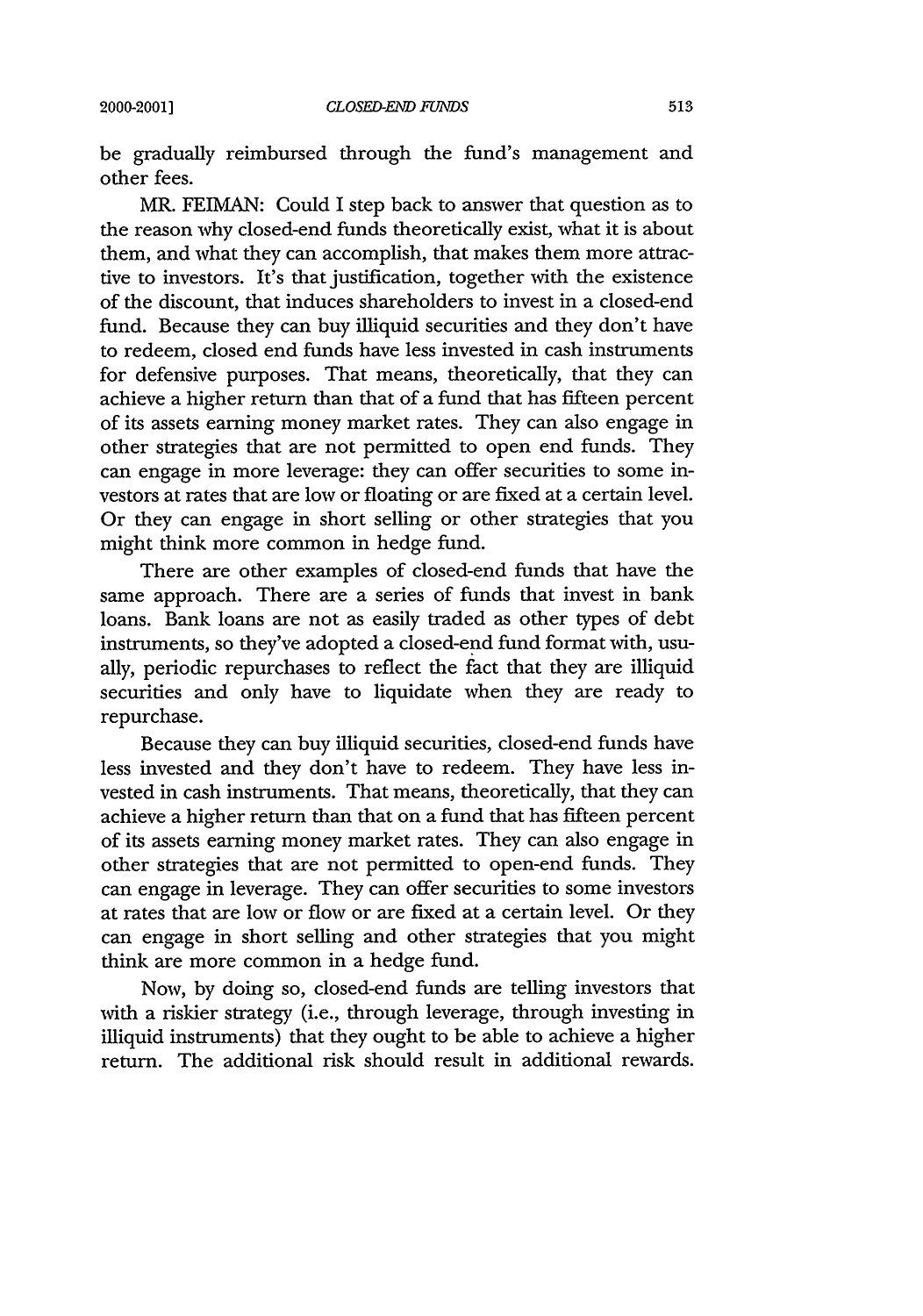be gradually reimbursed through the fund's management and other fees.

MR. FEIMAN: Could I step back to answer that question as to the reason why closed-end funds theoretically exist, what it is about them, and what they can accomplish, that makes them more attractive to investors. It's that justification, together with the existence of the discount, that induces shareholders to invest in a closed-end fund. Because they can buy illiquid securities and they don't have to redeem, closed end funds have less invested in cash instruments for defensive purposes. That means, theoretically, that they can achieve a higher return than that of a fund that has fifteen percent of its assets earning money market rates. They can also engage in other strategies that are not permitted to open end funds. They can engage in more leverage: they can offer securities to some investors at rates that are low or floating or are fixed at a certain level. Or they can engage in short selling or other strategies that you might think more common in hedge fund.

There are other examples of closed-end funds that have the same approach. There are a series of funds that invest in bank loans. Bank loans are not as easily traded as other types of debt instruments, so they've adopted a closed-end fund format with, usually, periodic repurchases to reflect the fact that they are illiquid securities and only have to liquidate when they are ready to repurchase.

Because they can buy illiquid securities, closed-end funds have less invested and they don't have to redeem. They have less invested in cash instruments. That means, theoretically, that they can achieve a higher return than that on a fund that has fifteen percent of its assets earning money market rates. They can also engage in other strategies that are not permitted to open-end funds. They can engage in leverage. They can offer securities to some investors at rates that are low or flow or are fixed at a certain level. Or they can engage in short selling and other strategies that you might think are more common in a hedge fund.

Now, by doing so, closed-end funds are telling investors that with a riskier strategy (i.e., through leverage, through investing in illiquid instruments) that they ought to be able to achieve a higher return. The additional risk should result in additional rewards.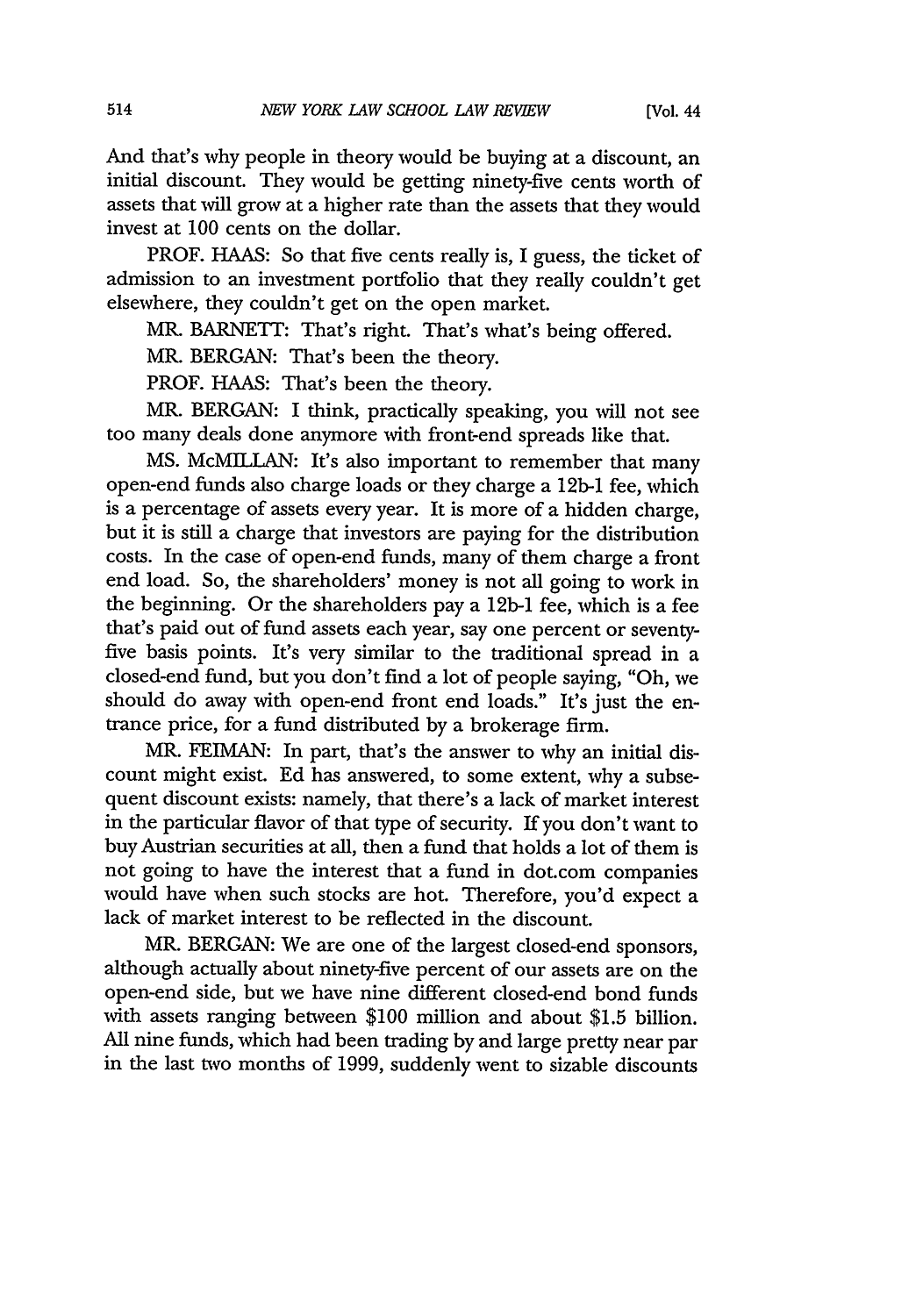And that's why people in theory would be buying at a discount, an initial discount. They would be getting ninety-five cents worth of assets that will grow at a higher rate than the assets that they would invest at 100 cents on the dollar.

PROF. HAAS: So that five cents really is, I guess, the ticket of admission to an investment portfolio that they really couldn't get elsewhere, they couldn't get on the open market.

MR. BARNETT: That's right. That's what's being offered.

MR. BERGAN: That's been the theory.

PROF. HAAS: That's been the theory.

MR. BERGAN: I think, practically speaking, you will not see too many deals done anymore with front-end spreads like that.

**MS.** McMILLAN: It's also important to remember that many open-end funds also charge loads or they charge a 12b-1 fee, which is a percentage of assets every year. It is more of a hidden charge, but it is still a charge that investors are paying for the distribution costs. In the case of open-end funds, many of them charge a front end load. So, the shareholders' money is not all going to work in the beginning. Or the shareholders pay a 12b-1 fee, which is a fee that's paid out of fund assets each year, say one percent or seventyfive basis points. It's very similar to the traditional spread in a closed-end fund, but you don't find a lot of people saying, "Oh, we should do away with open-end front end loads." It's just the entrance price, for a fund distributed by a brokerage firm.

MR. FEIMAN: In part, that's the answer to why an initial discount might exist. Ed has answered, to some extent, why a subsequent discount exists: namely, that there's a lack of market interest in the particular flavor of that type of security. If you don't want to buy Austrian securities at all, then a fund that holds a lot of them is not going to have the interest that a fund in dot.com companies would have when such stocks are hot. Therefore, you'd expect a lack of market interest to be reflected in the discount.

MR. BERGAN: We are one of the largest closed-end sponsors, although actually about ninety-five percent of our assets are on the open-end side, but we have nine different closed-end bond funds with assets ranging between \$100 million and about \$1.5 billion. All nine funds, which had been trading by and large pretty near par in the last two months of 1999, suddenly went to sizable discounts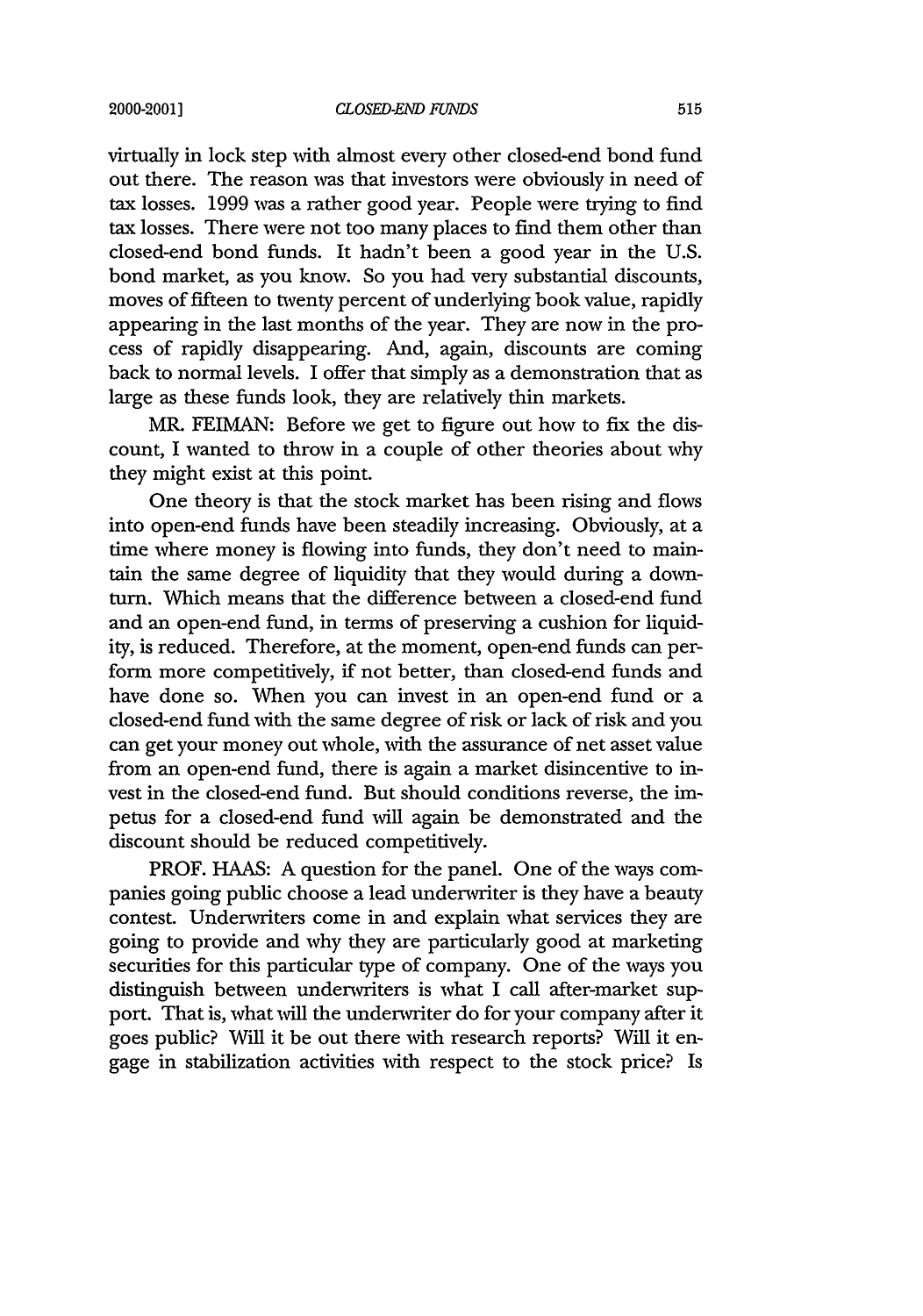#### 2000-2001]

#### *CLOSED-END* FUNDS

virtually in lock step with almost every other closed-end bond fund out there. The reason was that investors were obviously in need of tax losses. 1999 was a rather good year. People were trying to find tax losses. There were not too many places to find them other than closed-end bond funds. It hadn't been a good year in the U.S. bond market, as you know. So you had very substantial discounts, moves of fifteen to twenty percent of underlying book value, rapidly appearing in the last months of the year. They are now in the process of rapidly disappearing. And, again, discounts are coming back to normal levels. I offer that simply as a demonstration that as large as these funds look, they are relatively thin markets.

MR. FEIMAN: Before we get to figure out how to fix the discount, I wanted to throw in a couple of other theories about why they might exist at this point.

One theory is that the stock market has been rising and flows into open-end funds have been steadily increasing. Obviously, at a time where money is flowing into funds, they don't need to maintain the same degree of liquidity that they would during a downturn. Which means that the difference between a closed-end fund and an open-end fund, in terms of preserving a cushion for liquidity, is reduced. Therefore, at the moment, open-end funds can perform more competitively, if not better, than closed-end funds and have done so. When you can invest in an open-end fund or a closed-end fund with the same degree of risk or lack of risk and you can get your money out whole, with the assurance of net asset value from an open-end fund, there is again a market disincentive to invest in the closed-end fund. But should conditions reverse, the impetus for a closed-end fund will again be demonstrated and the discount should be reduced competitively.

PROF. HAAS: A question for the panel. One of the ways companies going public choose a lead underwriter is they have a beauty contest. Underwriters come in and explain what services they are going to provide and why they are particularly good at marketing securities for this particular type of company. One of the ways you distinguish between underwriters is what I call after-market support. That is, what will the underwriter do for your company after it goes public? Will it be out there with research reports? Will it engage in stabilization activities with respect to the stock price? Is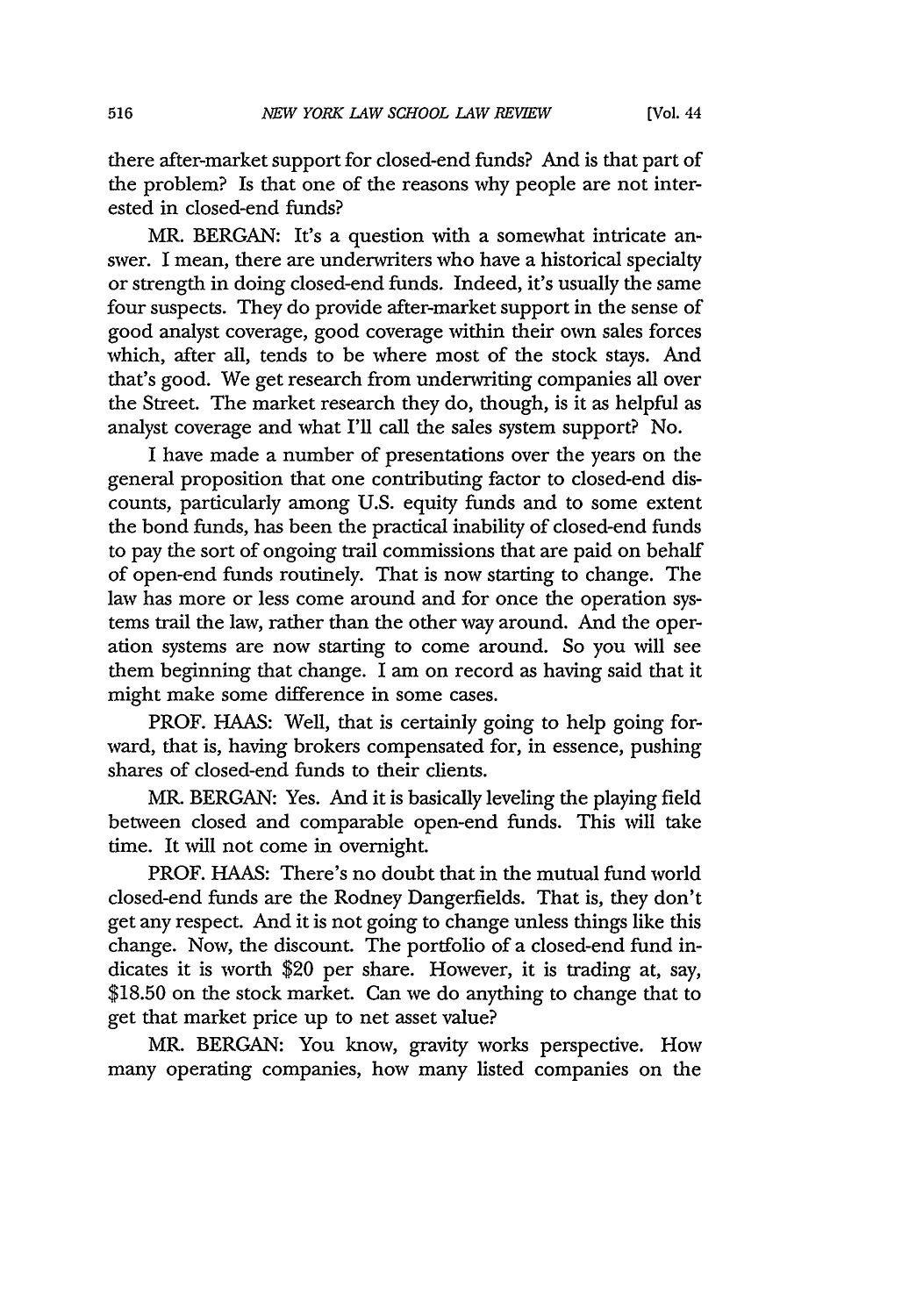there after-market support for closed-end funds? And is that part of the problem? Is that one of the reasons why people are not interested in closed-end funds?

MR. BERGAN: It's a question with a somewhat intricate answer. I mean, there are underwriters who have a historical specialty or strength in doing closed-end funds. Indeed, it's usually the same four suspects. They do provide after-market support in the sense of good analyst coverage, good coverage within their own sales forces which, after all, tends to be where most of the stock stays. And that's good. We get research from underwriting companies all over the Street. The market research they do, though, is it as helpful as analyst coverage and what I'll call the sales system support? No.

I have made a number of presentations over the years on the general proposition that one contributing factor to closed-end discounts, particularly among U.S. equity funds and to some extent the bond funds, has been the practical inability of closed-end funds to pay the sort of ongoing trail commissions that are paid on behalf of open-end funds routinely. That is now starting to change. The law has more or less come around and for once the operation systems trail the law, rather than the other way around. And the operation systems are now starting to come around. So you will see them beginning that change. I am on record as having said that it might make some difference in some cases.

PROF. HAAS: Well, that is certainly going to help going forward, that is, having brokers compensated for, in essence, pushing shares of closed-end funds to their clients.

MR. BERGAN: Yes. And it is basically leveling the playing field between closed and comparable open-end funds. This will take time. It will not come in overnight.

PROF. HAAS: There's no doubt that in the mutual fund world closed-end funds are the Rodney Dangerfields. That is, they don't get any respect. And it is not going to change unless things like this change. Now, the discount. The portfolio of a closed-end fund indicates it is worth \$20 per share. However, it is trading at, say, \$18.50 on the stock market. Can we do anything to change that to get that market price up to net asset value?

MR. BERGAN: You know, gravity works perspective. How many operating companies, how many listed companies on the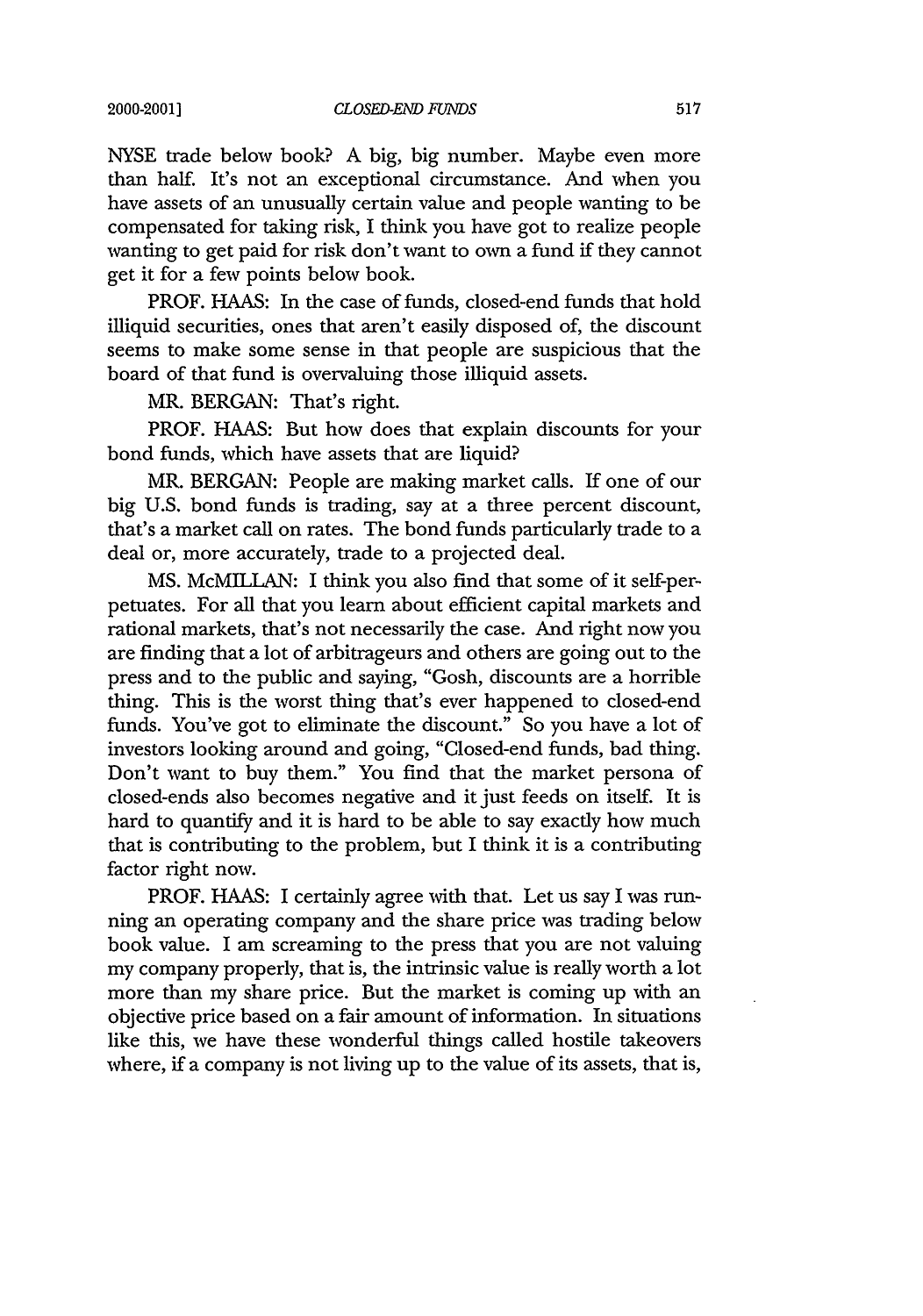NYSE trade below book? A big, big number. Maybe even more than half. It's not an exceptional circumstance. And when you have assets of an unusually certain value and people wanting to be compensated for taking risk, I think you have got to realize people wanting to get paid for risk don't want to own a fund if they cannot get it for a few points below book.

PROF. HAAS: In the case of funds, closed-end funds that hold illiquid securities, ones that aren't easily disposed of, the discount seems to make some sense in that people are suspicious that the board of that fund is overvaluing those illiquid assets.

MR. BERGAN: That's right.

PROF. HAAS: But how does that explain discounts for your bond funds, which have assets that are liquid?

MR. BERGAN: People are making market calls. If one of our big U.S. bond funds is trading, say at a three percent discount, that's a market call on rates. The bond funds particularly trade to a deal or, more accurately, trade to a projected deal.

**MS.** McMILLAN: I think you also find that some of it self-perpetuates. For all that you learn about efficient capital markets and rational markets, that's not necessarily the case. And right now you are finding that a lot of arbitrageurs and others are going out to the press and to the public and saying, "Gosh, discounts are a horrible thing. This is the worst thing that's ever happened to closed-end funds. You've got to eliminate the discount." So you have a lot of investors looking around and going, "Closed-end funds, bad thing. Don't want to buy them." You find that the market persona of closed-ends also becomes negative and it just feeds on itself. It is hard to quantify and it is hard to be able to say exactly how much that is contributing to the problem, but I think it is a contributing factor right now.

PROF. HAAS: I certainly agree with that. Let us say I was running an operating company and the share price was trading below book value. I am screaming to the press that you are not valuing my company properly, that is, the intrinsic value is really worth a lot more than my share price. But the market is coming up with an objective price based on a fair amount of information. In situations like this, we have these wonderful things called hostile takeovers where, if a company is not living up to the value of its assets, that is,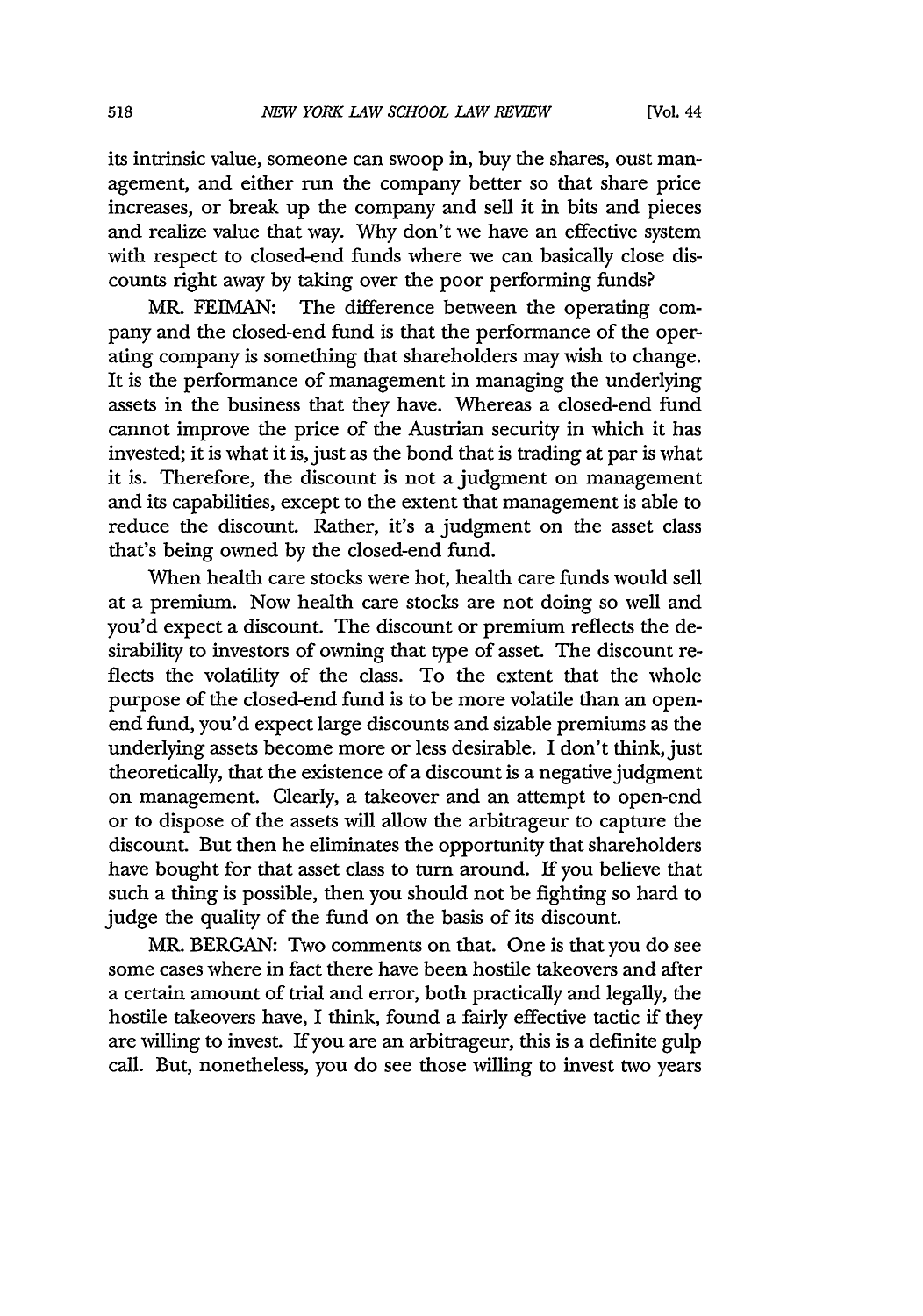its intrinsic value, someone can swoop in, buy the shares, oust management, and either run the company better so that share price increases, or break up the company and sell it in bits and pieces and realize value that way. Why don't we have an effective system with respect to closed-end funds where we can basically close discounts right away by taking over the poor performing funds?

MR. FEIMAN: The difference between the operating company and the closed-end fund is that the performance of the operating company is something that shareholders may wish to change. It is the performance of management in managing the underlying assets in the business that they have. Whereas a closed-end fund cannot improve the price of the Austrian security in which it has invested; it is what it is, just as the bond that is trading at par is what it is. Therefore, the discount is not a judgment on management and its capabilities, except to the extent that management is able to reduce the discount. Rather, it's a judgment on the asset class that's being owned by the closed-end fund.

When health care stocks were hot, health care funds would sell at a premium. Now health care stocks are not doing so well and you'd expect a discount. The discount or premium reflects the desirability to investors of owning that type of asset. The discount reflects the volatility of the class. To the extent that the whole purpose of the closed-end fund is to be more volatile than an openend fund, you'd expect large discounts and sizable premiums as the underlying assets become more or less desirable. I don't think, just theoretically, that the existence of a discount is a negative judgment on management. Clearly, a takeover and an attempt to open-end or to dispose of the assets will allow the arbitrageur to capture the discount. But then he eliminates the opportunity that shareholders have bought for that asset class to turn around. If you believe that such a thing is possible, then you should not be fighting so hard to judge the quality of the fund on the basis of its discount.

MR. BERGAN: Two comments on that. One is that you do see some cases where in fact there have been hostile takeovers and after a certain amount of trial and error, both practically and legally, the hostile takeovers have, I think, found a fairly effective tactic if they are willing to invest. If you are an arbitrageur, this is a definite gulp call. But, nonetheless, you do see those willing to invest two years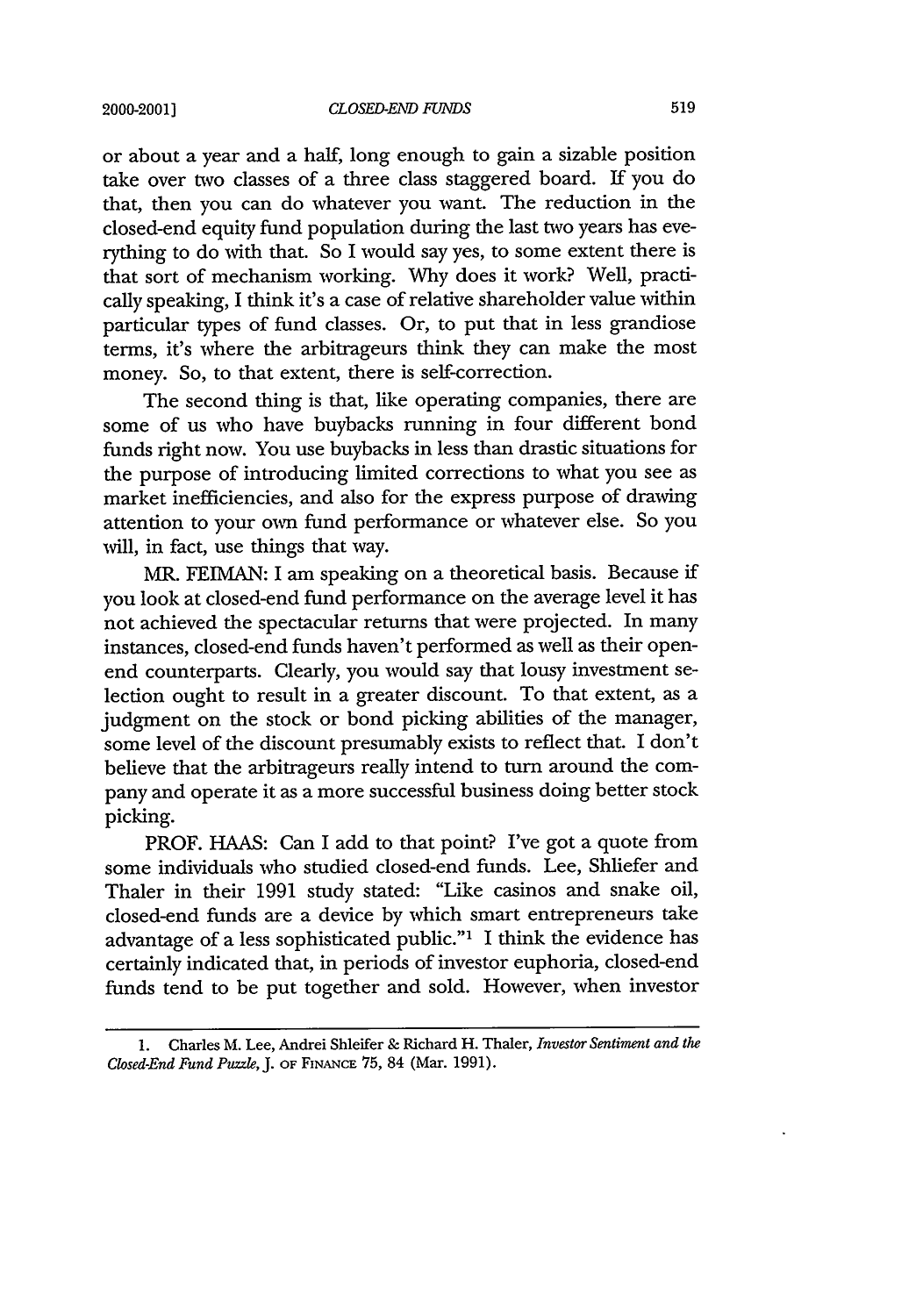or about a year and a half, long enough to gain a sizable position take over two classes of a three class staggered board. If you do that, then you can do whatever you want. The reduction in the closed-end equity fund population during the last two years has everything to do with that. So I would say yes, to some extent there is that sort of mechanism working. Why does it work? Well, practically speaking, I think it's a case of relative shareholder value within particular types of fund classes. Or, to put that in less grandiose terms, it's where the arbitrageurs think they can make the most money. So, to that extent, there is self-correction.

The second thing is that, like operating companies, there are some of us who have buybacks running in four different bond funds right now. You use buybacks in less than drastic situations for the purpose of introducing limited corrections to what you see as market inefficiencies, and also for the express purpose of drawing attention to your own fund performance or whatever else. So you will, in fact, use things that way.

MR. FEIMAN: I am speaking on a theoretical basis. Because if you look at closed-end fund performance on the average level it has not achieved the spectacular returns that were projected. In many instances, closed-end funds haven't performed as well as their openend counterparts. Clearly, you would say that lousy investment selection ought to result in a greater discount. To that extent, as a judgment on the stock or bond picking abilities of the manager, some level of the discount presumably exists to reflect that. I don't believe that the arbitrageurs really intend to turn around the company and operate it as a more successful business doing better stock picking.

PROF. **HAAS:** Can I add to that point? I've got a quote from some individuals who studied closed-end funds. Lee, Shliefer and Thaler in their 1991 study stated: "Like casinos and snake oil, closed-end funds are a device by which smart entrepreneurs take advantage of a less sophisticated public."' I think the evidence has certainly indicated that, in periods of investor euphoria, closed-end funds tend to be put together and sold. However, when investor

**<sup>1.</sup>** Charles M. Lee, Andrei Shleifer & Richard H. Thaler, *Investor Sentiment and the Closed-End Fund Puzzle,* J. OF **FINANCE** *75,* 84 (Mar. 1991).